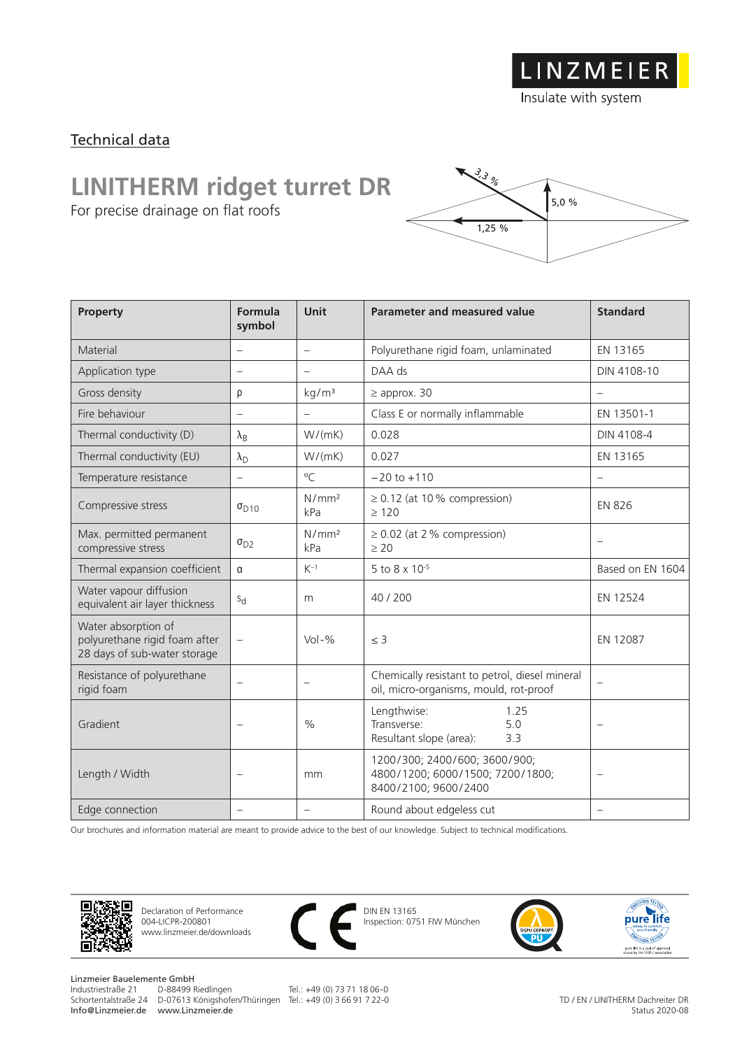Insulate with system

### Technical data

## **LINITHERM ridget turret DR**

For precise drainage on flat roofs



| Property                                                                             | Formula<br>symbol        | <b>Unit</b>              | <b>Parameter and measured value</b>                                                       | <b>Standard</b>          |
|--------------------------------------------------------------------------------------|--------------------------|--------------------------|-------------------------------------------------------------------------------------------|--------------------------|
| Material                                                                             | $\overline{\phantom{0}}$ | $\overline{\phantom{m}}$ | Polyurethane rigid foam, unlaminated                                                      | EN 13165                 |
| Application type                                                                     |                          | $\overline{\phantom{m}}$ | DAA ds                                                                                    | DIN 4108-10              |
| Gross density                                                                        | ρ                        | kg/m <sup>3</sup>        | $\geq$ approx. 30                                                                         |                          |
| Fire behaviour                                                                       | $\overline{\phantom{0}}$ | $\overline{\phantom{m}}$ | Class E or normally inflammable                                                           | EN 13501-1               |
| Thermal conductivity (D)                                                             | $\lambda_{\text{B}}$     | W/(mK)                   | 0.028                                                                                     | DIN 4108-4               |
| Thermal conductivity (EU)                                                            | $\lambda_{\rm D}$        | W/(mK)                   | 0.027                                                                                     | EN 13165                 |
| Temperature resistance                                                               |                          | $\rm ^{o}C$              | $-20$ to $+110$                                                                           |                          |
| Compressive stress                                                                   | $\sigma_{D10}$           | N/mm <sup>2</sup><br>kPa | $\geq$ 0.12 (at 10% compression)<br>$\geq 120$                                            | <b>EN 826</b>            |
| Max. permitted permanent<br>compressive stress                                       | $\sigma_{D2}$            | N/mm <sup>2</sup><br>kPa | $\geq$ 0.02 (at 2 % compression)<br>$\geq 20$                                             |                          |
| Thermal expansion coefficient                                                        | α                        | $K^{-1}$                 | 5 to 8 x 10-5                                                                             | Based on EN 1604         |
| Water vapour diffusion<br>equivalent air layer thickness                             | $S_{d}$                  | m                        | 40/200                                                                                    | EN 12524                 |
| Water absorption of<br>polyurethane rigid foam after<br>28 days of sub-water storage | $\overline{\phantom{0}}$ | $Vol - %$                | $\leq$ 3                                                                                  | EN 12087                 |
| Resistance of polyurethane<br>rigid foam                                             | $\overline{\phantom{0}}$ | $\overline{\phantom{m}}$ | Chemically resistant to petrol, diesel mineral<br>oil, micro-organisms, mould, rot-proof  | $\overline{\phantom{0}}$ |
| Gradient                                                                             | $\overline{\phantom{0}}$ | $\frac{0}{0}$            | Lengthwise:<br>1.25<br>5.0<br>Transverse:<br>Resultant slope (area):<br>3.3               | $\overline{\phantom{0}}$ |
| Length / Width                                                                       |                          | mm                       | 1200/300; 2400/600; 3600/900;<br>4800/1200; 6000/1500; 7200/1800;<br>8400/2100; 9600/2400 | $\overline{\phantom{m}}$ |
| Edge connection                                                                      |                          | $\overline{\phantom{0}}$ | Round about edgeless cut                                                                  |                          |

Our brochures and information material are meant to provide advice to the best of our knowledge. Subject to technical modifications.



Declaration of Performance 004-LICPR-200801 www.linzmeier.de/downloads



DIN EN 13165 Inspection: 0751 FIW München



Linzmeier Bauelemente GmbH<br>Industriestraße 21 D-88499 Riedlingen Info@Linzmeier.de www.Linzmeier.de

Schortentalstraße 24 D-07613 Königshofen/Thüringen Tel.: +49 (0) 3 66 91 7 22-0

Tel.: +49 (0) 73 71 18 06-0

TD / EN / LINITHERM Dachreiter DR Status 2020-08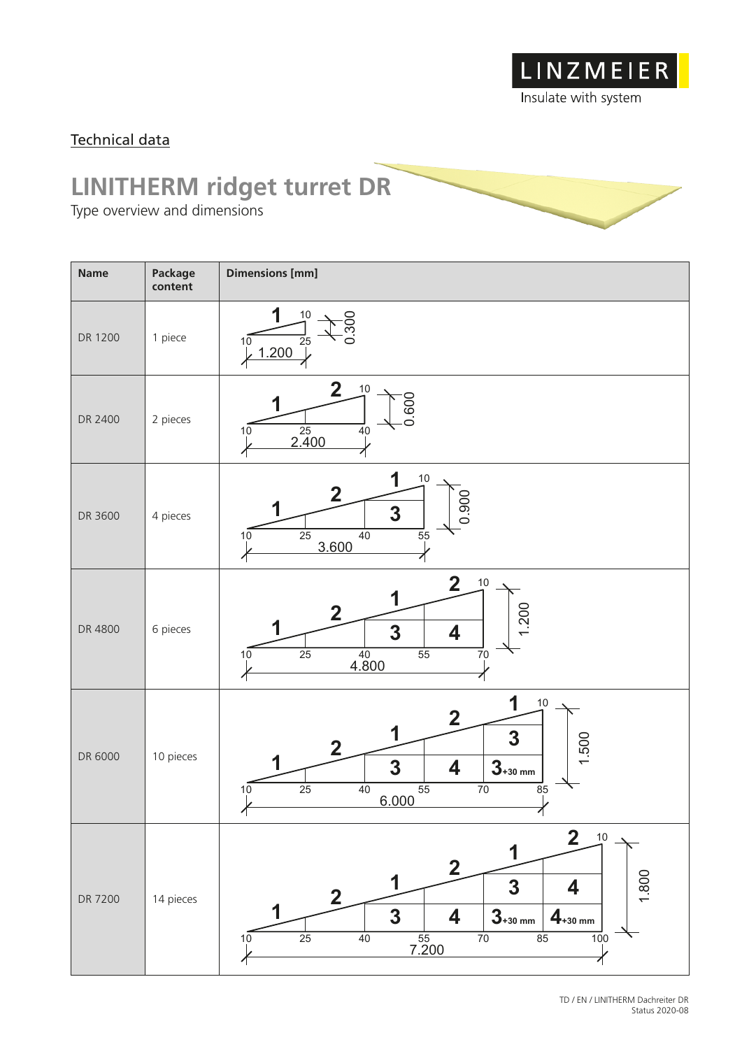

### Technical data

### **LINITHERM ridget turret DR**

Type overview and dimensions

| <b>Name</b> | Package<br>content | <b>Dimensions [mm]</b>                                                                                                                                                                                                                                      |
|-------------|--------------------|-------------------------------------------------------------------------------------------------------------------------------------------------------------------------------------------------------------------------------------------------------------|
| DR 1200     | 1 piece            | $10\,$<br>300<br>25<br>10<br>1.200                                                                                                                                                                                                                          |
| DR 2400     | 2 pieces           | $\overline{2}$<br>$10$<br>0.600<br>$\frac{25}{2.400}$<br>$\overline{4}0$<br>10                                                                                                                                                                              |
| DR 3600     | 4 pieces           | 1<br>$10$<br>2<br>0.900<br>3<br>$\overline{25}$<br>40<br>$\overline{5}5$<br>10<br>3.600                                                                                                                                                                     |
| DR 4800     | 6 pieces           | $\overline{2}$<br>$10$<br>1<br>1.200<br>2<br>3<br>4<br>$\frac{40}{4.800}$<br>$\overline{25}$<br>$\overline{55}$<br>70<br>10                                                                                                                                 |
| DR 6000     | 10 pieces          | 1<br>10<br>$\overline{\mathbf{2}}$<br>1<br>3<br>.500<br>2<br>$3 + 30$ mm<br>3<br>4<br>$\overline{25}$<br>55<br>$\overline{70}$<br>40<br>85<br>10<br>6.000<br>$\mathcal{L}$<br>ΥĻ                                                                            |
| DR 7200     | 14 pieces          | $2 \n10$<br>$\overline{\mathbf{2}}$<br>1.800<br>1<br>$\overline{\mathbf{3}}$<br>4<br>$\mathbf 2$<br>$\mathbf{3}$<br>$3 + 30$ mm<br>4<br>$4_{+30 \; mm}$<br>$\frac{55}{7.200}$<br>$\overline{25}$<br>40<br>$\overline{70}$<br>85<br>$\overline{10}0$<br>$10$ |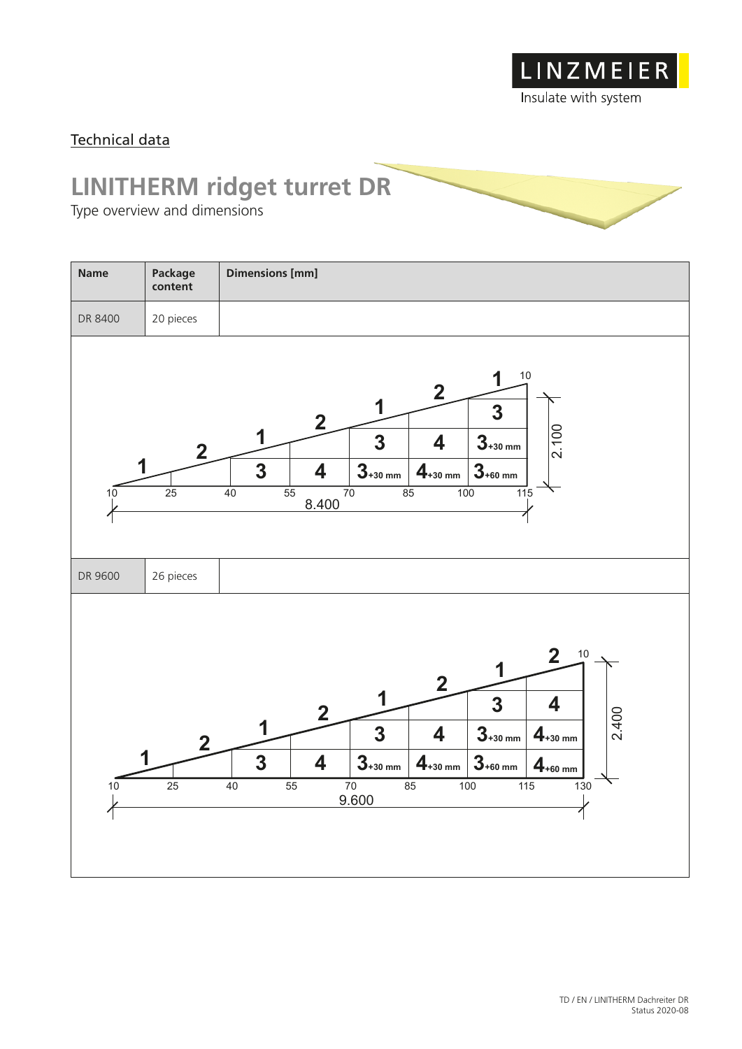

#### Technical data

# **LINITHERM ridget turret DR**

Type overview and dimensions